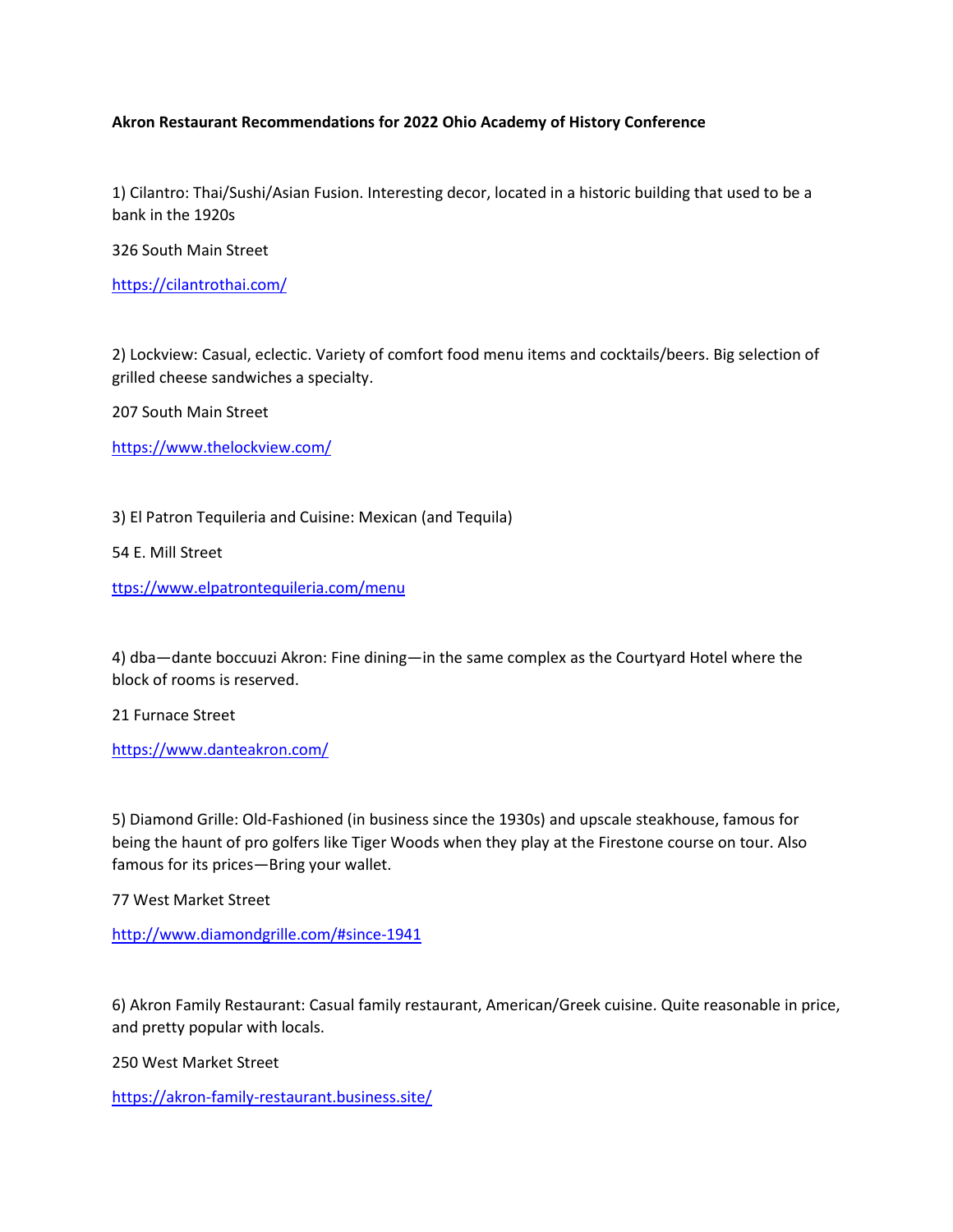## **Akron Restaurant Recommendations for 2022 Ohio Academy of History Conference**

1) Cilantro: Thai/Sushi/Asian Fusion. Interesting decor, located in a historic building that used to be a bank in the 1920s

326 South Main Street

<https://cilantrothai.com/>

2) Lockview: Casual, eclectic. Variety of comfort food menu items and cocktails/beers. Big selection of grilled cheese sandwiches a specialty.

207 South Main Street

<https://www.thelockview.com/>

3) El Patron Tequileria and Cuisine: Mexican (and Tequila)

54 E. Mill Street

<ttps://www.elpatrontequileria.com/menu>

4) dba—dante boccuuzi Akron: Fine dining—in the same complex as the Courtyard Hotel where the block of rooms is reserved.

21 Furnace Street

<https://www.danteakron.com/>

5) Diamond Grille: Old-Fashioned (in business since the 1930s) and upscale steakhouse, famous for being the haunt of pro golfers like Tiger Woods when they play at the Firestone course on tour. Also famous for its prices—Bring your wallet.

77 West Market Street

<http://www.diamondgrille.com/#since-1941>

6) Akron Family Restaurant: Casual family restaurant, American/Greek cuisine. Quite reasonable in price, and pretty popular with locals.

250 West Market Street

<https://akron-family-restaurant.business.site/>